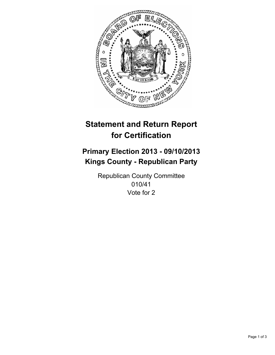

# **Statement and Return Report for Certification**

# **Primary Election 2013 - 09/10/2013 Kings County - Republican Party**

Republican County Committee 010/41 Vote for 2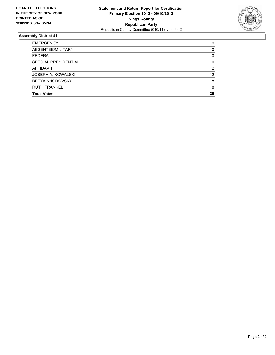

## **Assembly District 41**

| <b>EMERGENCY</b>          | 0  |
|---------------------------|----|
| ABSENTEE/MILITARY         | 0  |
| <b>FEDERAL</b>            | 0  |
| SPECIAL PRESIDENTIAL      | 0  |
| AFFIDAVIT                 | 2  |
| <b>JOSEPH A. KOWALSKI</b> | 12 |
| <b>BETYA KHOROVSKY</b>    | 8  |
| <b>RUTH FRANKEL</b>       | 8  |
| <b>Total Votes</b>        | 28 |